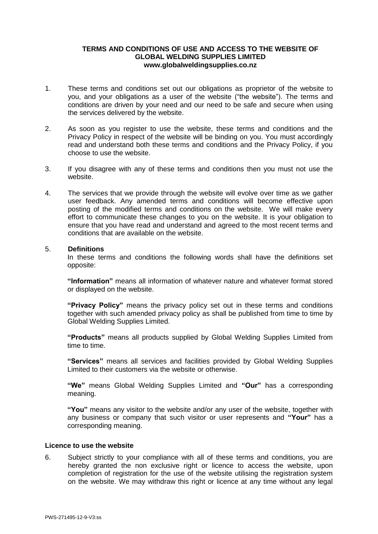# **TERMS AND CONDITIONS OF USE AND ACCESS TO THE WEBSITE OF GLOBAL WELDING SUPPLIES LIMITED www.globalweldingsupplies.co.nz**

- 1. These terms and conditions set out our obligations as proprietor of the website to you, and your obligations as a user of the website ("the website"). The terms and conditions are driven by your need and our need to be safe and secure when using the services delivered by the website.
- 2. As soon as you register to use the website, these terms and conditions and the Privacy Policy in respect of the website will be binding on you. You must accordingly read and understand both these terms and conditions and the Privacy Policy, if you choose to use the website.
- 3. If you disagree with any of these terms and conditions then you must not use the website.
- 4. The services that we provide through the website will evolve over time as we gather user feedback. Any amended terms and conditions will become effective upon posting of the modified terms and conditions on the website. We will make every effort to communicate these changes to you on the website. It is your obligation to ensure that you have read and understand and agreed to the most recent terms and conditions that are available on the website.

## 5. **Definitions**

In these terms and conditions the following words shall have the definitions set opposite:

**"Information"** means all information of whatever nature and whatever format stored or displayed on the website.

**"Privacy Policy"** means the privacy policy set out in these terms and conditions together with such amended privacy policy as shall be published from time to time by Global Welding Supplies Limited.

**"Products"** means all products supplied by Global Welding Supplies Limited from time to time.

**"Services"** means all services and facilities provided by Global Welding Supplies Limited to their customers via the website or otherwise.

**"We"** means Global Welding Supplies Limited and **"Our"** has a corresponding meaning.

**"You"** means any visitor to the website and/or any user of the website, together with any business or company that such visitor or user represents and **"Your"** has a corresponding meaning.

#### **Licence to use the website**

6. Subject strictly to your compliance with all of these terms and conditions, you are hereby granted the non exclusive right or licence to access the website, upon completion of registration for the use of the website utilising the registration system on the website. We may withdraw this right or licence at any time without any legal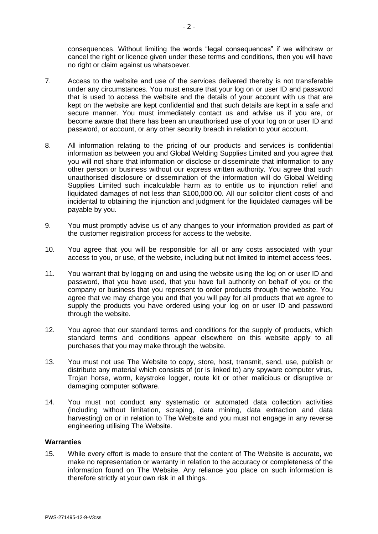consequences. Without limiting the words "legal consequences" if we withdraw or cancel the right or licence given under these terms and conditions, then you will have no right or claim against us whatsoever.

- 7. Access to the website and use of the services delivered thereby is not transferable under any circumstances. You must ensure that your log on or user ID and password that is used to access the website and the details of your account with us that are kept on the website are kept confidential and that such details are kept in a safe and secure manner. You must immediately contact us and advise us if you are, or become aware that there has been an unauthorised use of your log on or user ID and password, or account, or any other security breach in relation to your account.
- 8. All information relating to the pricing of our products and services is confidential information as between you and Global Welding Supplies Limited and you agree that you will not share that information or disclose or disseminate that information to any other person or business without our express written authority. You agree that such unauthorised disclosure or dissemination of the information will do Global Welding Supplies Limited such incalculable harm as to entitle us to injunction relief and liquidated damages of not less than \$100,000.00. All our solicitor client costs of and incidental to obtaining the injunction and judgment for the liquidated damages will be payable by you.
- 9. You must promptly advise us of any changes to your information provided as part of the customer registration process for access to the website.
- 10. You agree that you will be responsible for all or any costs associated with your access to you, or use, of the website, including but not limited to internet access fees.
- 11. You warrant that by logging on and using the website using the log on or user ID and password, that you have used, that you have full authority on behalf of you or the company or business that you represent to order products through the website. You agree that we may charge you and that you will pay for all products that we agree to supply the products you have ordered using your log on or user ID and password through the website.
- 12. You agree that our standard terms and conditions for the supply of products, which standard terms and conditions appear elsewhere on this website apply to all purchases that you may make through the website.
- 13. You must not use The Website to copy, store, host, transmit, send, use, publish or distribute any material which consists of (or is linked to) any spyware computer virus, Trojan horse, worm, keystroke logger, route kit or other malicious or disruptive or damaging computer software.
- 14. You must not conduct any systematic or automated data collection activities (including without limitation, scraping, data mining, data extraction and data harvesting) on or in relation to The Website and you must not engage in any reverse engineering utilising The Website.

## **Warranties**

15. While every effort is made to ensure that the content of The Website is accurate, we make no representation or warranty in relation to the accuracy or completeness of the information found on The Website. Any reliance you place on such information is therefore strictly at your own risk in all things.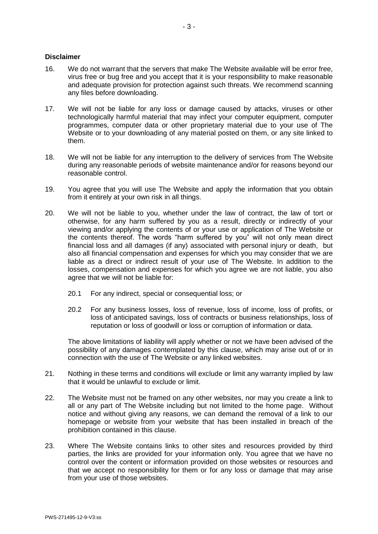## **Disclaimer**

- 16. We do not warrant that the servers that make The Website available will be error free, virus free or bug free and you accept that it is your responsibility to make reasonable and adequate provision for protection against such threats. We recommend scanning any files before downloading.
- 17. We will not be liable for any loss or damage caused by attacks, viruses or other technologically harmful material that may infect your computer equipment, computer programmes, computer data or other proprietary material due to your use of The Website or to your downloading of any material posted on them, or any site linked to them.
- 18. We will not be liable for any interruption to the delivery of services from The Website during any reasonable periods of website maintenance and/or for reasons beyond our reasonable control.
- 19. You agree that you will use The Website and apply the information that you obtain from it entirely at your own risk in all things.
- 20. We will not be liable to you, whether under the law of contract, the law of tort or otherwise, for any harm suffered by you as a result, directly or indirectly of your viewing and/or applying the contents of or your use or application of The Website or the contents thereof. The words "harm suffered by you" will not only mean direct financial loss and all damages (if any) associated with personal injury or death, but also all financial compensation and expenses for which you may consider that we are liable as a direct or indirect result of your use of The Website. In addition to the losses, compensation and expenses for which you agree we are not liable, you also agree that we will not be liable for:
	- 20.1 For any indirect, special or consequential loss; or
	- 20.2 For any business losses, loss of revenue, loss of income, loss of profits, or loss of anticipated savings, loss of contracts or business relationships, loss of reputation or loss of goodwill or loss or corruption of information or data.

The above limitations of liability will apply whether or not we have been advised of the possibility of any damages contemplated by this clause, which may arise out of or in connection with the use of The Website or any linked websites.

- 21. Nothing in these terms and conditions will exclude or limit any warranty implied by law that it would be unlawful to exclude or limit.
- 22. The Website must not be framed on any other websites, nor may you create a link to all or any part of The Website including but not limited to the home page. Without notice and without giving any reasons, we can demand the removal of a link to our homepage or website from your website that has been installed in breach of the prohibition contained in this clause.
- 23. Where The Website contains links to other sites and resources provided by third parties, the links are provided for your information only. You agree that we have no control over the content or information provided on those websites or resources and that we accept no responsibility for them or for any loss or damage that may arise from your use of those websites.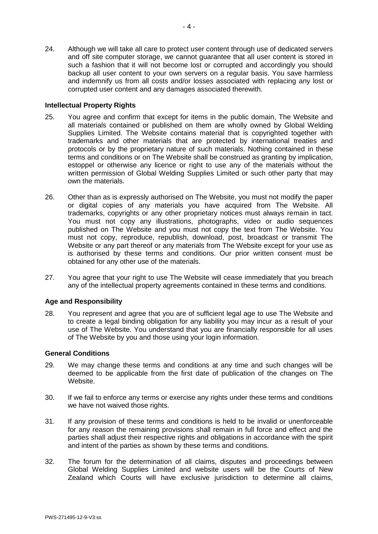24. Although we will take all care to protect user content through use of dedicated servers and off site computer storage, we cannot guarantee that all user content is stored in such a fashion that it will not become lost or corrupted and accordingly you should backup all user content to your own servers on a regular basis. You save harmless and indemnify us from all costs and/or losses associated with replacing any lost or corrupted user content and any damages associated therewith.

# **Intellectual Property Rights**

- 25. You agree and confirm that except for items in the public domain, The Website and all materials contained or published on them are wholly owned by Global Welding Supplies Limited. The Website contains material that is copyrighted together with trademarks and other materials that are protected by international treaties and protocols or by the proprietary nature of such materials. Nothing contained in these terms and conditions or on The Website shall be construed as granting by implication, estoppel or otherwise any licence or right to use any of the materials without the written permission of Global Welding Supplies Limited or such other party that may own the materials.
- 26. Other than as is expressly authorised on The Website, you must not modify the paper or digital copies of any materials you have acquired from The Website. All trademarks, copyrights or any other proprietary notices must always remain in tact. You must not copy any illustrations, photographs, video or audio sequences published on The Website and you must not copy the text from The Website. You must not copy, reproduce, republish, download, post, broadcast or transmit The Website or any part thereof or any materials from The Website except for your use as is authorised by these terms and conditions. Our prior written consent must be obtained for any other use of the materials.
- 27. You agree that your right to use The Website will cease immediately that you breach any of the intellectual property agreements contained in these terms and conditions.

#### **Age and Responsibility**

28. You represent and agree that you are of sufficient legal age to use The Website and to create a legal binding obligation for any liability you may incur as a result of your use of The Website. You understand that you are financially responsible for all uses of The Website by you and those using your login information.

#### **General Conditions**

- 29. We may change these terms and conditions at any time and such changes will be deemed to be applicable from the first date of publication of the changes on The Website.
- 30. If we fail to enforce any terms or exercise any rights under these terms and conditions we have not waived those rights.
- 31. If any provision of these terms and conditions is held to be invalid or unenforceable for any reason the remaining provisions shall remain in full force and effect and the parties shall adjust their respective rights and obligations in accordance with the spirit and intent of the parties as shown by these terms and conditions.
- 32. The forum for the determination of all claims, disputes and proceedings between Global Welding Supplies Limited and website users will be the Courts of New Zealand which Courts will have exclusive jurisdiction to determine all claims,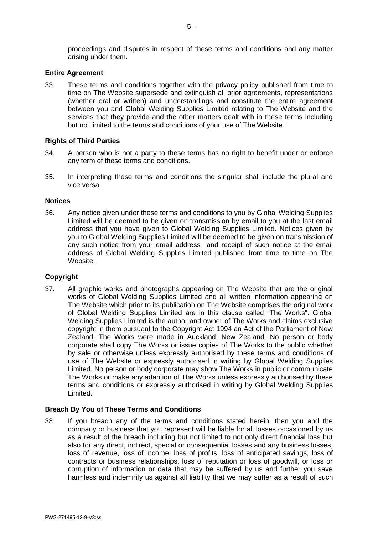proceedings and disputes in respect of these terms and conditions and any matter arising under them.

## **Entire Agreement**

33. These terms and conditions together with the privacy policy published from time to time on The Website supersede and extinguish all prior agreements, representations (whether oral or written) and understandings and constitute the entire agreement between you and Global Welding Supplies Limited relating to The Website and the services that they provide and the other matters dealt with in these terms including but not limited to the terms and conditions of your use of The Website.

# **Rights of Third Parties**

- 34. A person who is not a party to these terms has no right to benefit under or enforce any term of these terms and conditions.
- 35. In interpreting these terms and conditions the singular shall include the plural and vice versa.

#### **Notices**

36. Any notice given under these terms and conditions to you by Global Welding Supplies Limited will be deemed to be given on transmission by email to you at the last email address that you have given to Global Welding Supplies Limited. Notices given by you to Global Welding Supplies Limited will be deemed to be given on transmission of any such notice from your email address and receipt of such notice at the email address of Global Welding Supplies Limited published from time to time on The Website.

#### **Copyright**

37. All graphic works and photographs appearing on The Website that are the original works of Global Welding Supplies Limited and all written information appearing on The Website which prior to its publication on The Website comprises the original work of Global Welding Supplies Limited are in this clause called "The Works". Global Welding Supplies Limited is the author and owner of The Works and claims exclusive copyright in them pursuant to the Copyright Act 1994 an Act of the Parliament of New Zealand. The Works were made in Auckland, New Zealand. No person or body corporate shall copy The Works or issue copies of The Works to the public whether by sale or otherwise unless expressly authorised by these terms and conditions of use of The Website or expressly authorised in writing by Global Welding Supplies Limited. No person or body corporate may show The Works in public or communicate The Works or make any adaption of The Works unless expressly authorised by these terms and conditions or expressly authorised in writing by Global Welding Supplies Limited.

## **Breach By You of These Terms and Conditions**

38. If you breach any of the terms and conditions stated herein, then you and the company or business that you represent will be liable for all losses occasioned by us as a result of the breach including but not limited to not only direct financial loss but also for any direct, indirect, special or consequential losses and any business losses, loss of revenue, loss of income, loss of profits, loss of anticipated savings, loss of contracts or business relationships, loss of reputation or loss of goodwill, or loss or corruption of information or data that may be suffered by us and further you save harmless and indemnify us against all liability that we may suffer as a result of such